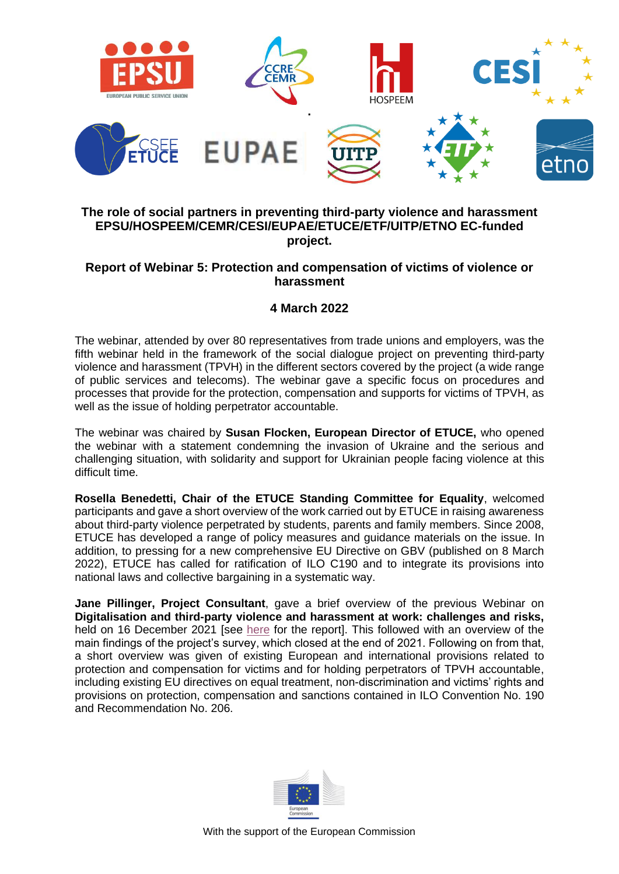

## **The role of social partners in preventing third-party violence and harassment EPSU/HOSPEEM/CEMR/CESI/EUPAE/ETUCE/ETF/UITP/ETNO EC-funded project.**

## **Report of Webinar 5: Protection and compensation of victims of violence or harassment**

## **4 March 2022**

The webinar, attended by over 80 representatives from trade unions and employers, was the fifth webinar held in the framework of the social dialogue project on preventing third-party violence and harassment (TPVH) in the different sectors covered by the project (a wide range of public services and telecoms). The webinar gave a specific focus on procedures and processes that provide for the protection, compensation and supports for victims of TPVH, as well as the issue of holding perpetrator accountable.

The webinar was chaired by **Susan Flocken, European Director of ETUCE,** who opened the webinar with a statement condemning the invasion of Ukraine and the serious and challenging situation, with solidarity and support for Ukrainian people facing violence at this difficult time.

**Rosella Benedetti, Chair of the ETUCE Standing Committee for Equality**, welcomed participants and gave a short overview of the work carried out by ETUCE in raising awareness about third-party violence perpetrated by students, parents and family members. Since 2008, ETUCE has developed a range of policy measures and guidance materials on the issue. In addition, to pressing for a new comprehensive EU Directive on GBV (published on 8 March 2022), ETUCE has called for ratification of ILO C190 and to integrate its provisions into national laws and collective bargaining in a systematic way.

**Jane Pillinger, Project Consultant**, gave a brief overview of the previous Webinar on **Digitalisation and third-party violence and harassment at work: challenges and risks,**  held on 16 December 2021 [see [here](https://www.epsu.org/article/2021-16-december-0) for the report]. This followed with an overview of the main findings of the project's survey, which closed at the end of 2021. Following on from that, a short overview was given of existing European and international provisions related to protection and compensation for victims and for holding perpetrators of TPVH accountable, including existing EU directives on equal treatment, non-discrimination and victims' rights and provisions on protection, compensation and sanctions contained in ILO Convention No. 190 and Recommendation No. 206.

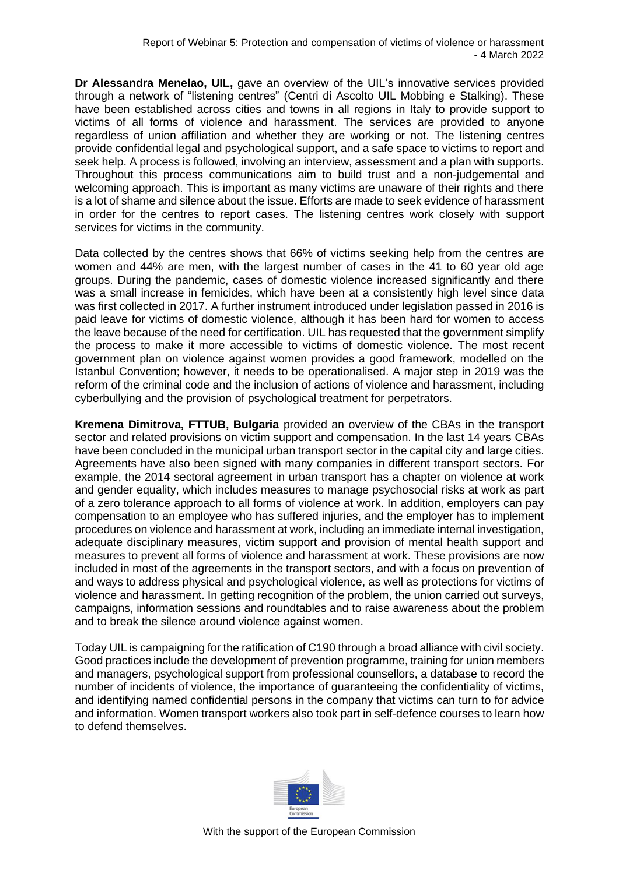**Dr Alessandra Menelao, UIL,** gave an overview of the UIL's innovative services provided through a network of "listening centres" (Centri di Ascolto UIL Mobbing e Stalking). These have been established across cities and towns in all regions in Italy to provide support to victims of all forms of violence and harassment. The services are provided to anyone regardless of union affiliation and whether they are working or not. The listening centres provide confidential legal and psychological support, and a safe space to victims to report and seek help. A process is followed, involving an interview, assessment and a plan with supports. Throughout this process communications aim to build trust and a non-judgemental and welcoming approach. This is important as many victims are unaware of their rights and there is a lot of shame and silence about the issue. Efforts are made to seek evidence of harassment in order for the centres to report cases. The listening centres work closely with support services for victims in the community.

Data collected by the centres shows that 66% of victims seeking help from the centres are women and 44% are men, with the largest number of cases in the 41 to 60 year old age groups. During the pandemic, cases of domestic violence increased significantly and there was a small increase in femicides, which have been at a consistently high level since data was first collected in 2017. A further instrument introduced under legislation passed in 2016 is paid leave for victims of domestic violence, although it has been hard for women to access the leave because of the need for certification. UIL has requested that the government simplify the process to make it more accessible to victims of domestic violence. The most recent government plan on violence against women provides a good framework, modelled on the Istanbul Convention; however, it needs to be operationalised. A major step in 2019 was the reform of the criminal code and the inclusion of actions of violence and harassment, including cyberbullying and the provision of psychological treatment for perpetrators.

**Kremena Dimitrova, FTTUB, Bulgaria** provided an overview of the CBAs in the transport sector and related provisions on victim support and compensation. In the last 14 years CBAs have been concluded in the municipal urban transport sector in the capital city and large cities. Agreements have also been signed with many companies in different transport sectors. For example, the 2014 sectoral agreement in urban transport has a chapter on violence at work and gender equality, which includes measures to manage psychosocial risks at work as part of a zero tolerance approach to all forms of violence at work. In addition, employers can pay compensation to an employee who has suffered injuries, and the employer has to implement procedures on violence and harassment at work, including an immediate internal investigation, adequate disciplinary measures, victim support and provision of mental health support and measures to prevent all forms of violence and harassment at work. These provisions are now included in most of the agreements in the transport sectors, and with a focus on prevention of and ways to address physical and psychological violence, as well as protections for victims of violence and harassment. In getting recognition of the problem, the union carried out surveys, campaigns, information sessions and roundtables and to raise awareness about the problem and to break the silence around violence against women.

Today UIL is campaigning for the ratification of C190 through a broad alliance with civil society. Good practices include the development of prevention programme, training for union members and managers, psychological support from professional counsellors, a database to record the number of incidents of violence, the importance of guaranteeing the confidentiality of victims, and identifying named confidential persons in the company that victims can turn to for advice and information. Women transport workers also took part in self-defence courses to learn how to defend themselves.

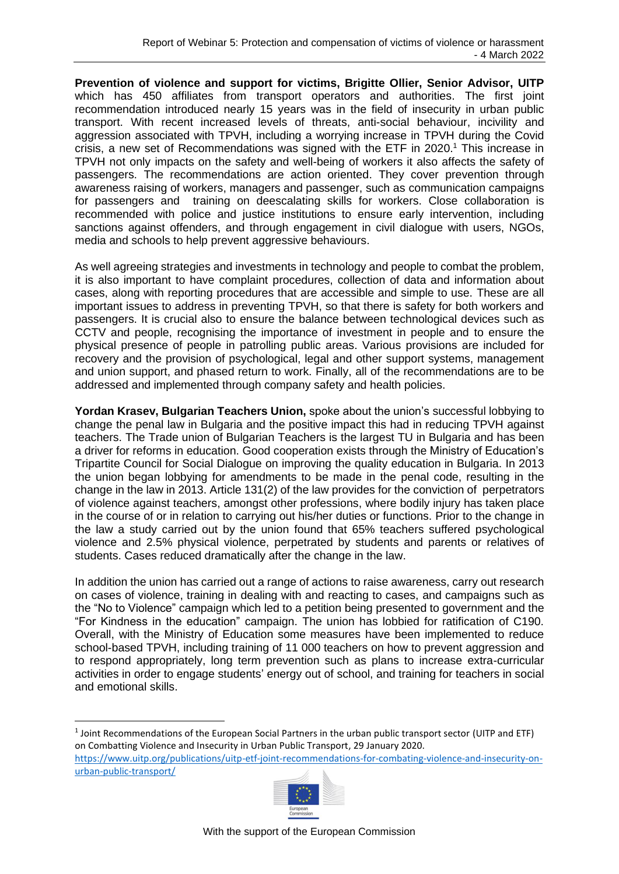**Prevention of violence and support for victims, Brigitte Ollier, Senior Advisor, UITP** which has 450 affiliates from transport operators and authorities. The first joint recommendation introduced nearly 15 years was in the field of insecurity in urban public transport. With recent increased levels of threats, anti-social behaviour, incivility and aggression associated with TPVH, including a worrying increase in TPVH during the Covid crisis, a new set of Recommendations was signed with the ETF in 2020. <sup>1</sup> This increase in TPVH not only impacts on the safety and well-being of workers it also affects the safety of passengers. The recommendations are action oriented. They cover prevention through awareness raising of workers, managers and passenger, such as communication campaigns for passengers and training on deescalating skills for workers. Close collaboration is recommended with police and justice institutions to ensure early intervention, including sanctions against offenders, and through engagement in civil dialogue with users, NGOs, media and schools to help prevent aggressive behaviours.

As well agreeing strategies and investments in technology and people to combat the problem, it is also important to have complaint procedures, collection of data and information about cases, along with reporting procedures that are accessible and simple to use. These are all important issues to address in preventing TPVH, so that there is safety for both workers and passengers. It is crucial also to ensure the balance between technological devices such as CCTV and people, recognising the importance of investment in people and to ensure the physical presence of people in patrolling public areas. Various provisions are included for recovery and the provision of psychological, legal and other support systems, management and union support, and phased return to work. Finally, all of the recommendations are to be addressed and implemented through company safety and health policies.

**Yordan Krasev, Bulgarian Teachers Union,** spoke about the union's successful lobbying to change the penal law in Bulgaria and the positive impact this had in reducing TPVH against teachers. The Trade union of Bulgarian Teachers is the largest TU in Bulgaria and has been a driver for reforms in education. Good cooperation exists through the Ministry of Education's Tripartite Council for Social Dialogue on improving the quality education in Bulgaria. In 2013 the union began lobbying for amendments to be made in the penal code, resulting in the change in the law in 2013. Article 131(2) of the law provides for the conviction of perpetrators of violence against teachers, amongst other professions, where bodily injury has taken place in the course of or in relation to carrying out his/her duties or functions. Prior to the change in the law a study carried out by the union found that 65% teachers suffered psychological violence and 2.5% physical violence, perpetrated by students and parents or relatives of students. Cases reduced dramatically after the change in the law.

In addition the union has carried out a range of actions to raise awareness, carry out research on cases of violence, training in dealing with and reacting to cases, and campaigns such as the "No to Violence" campaign which led to a petition being presented to government and the "For Kindness in the education" campaign. The union has lobbied for ratification of C190. Overall, with the Ministry of Education some measures have been implemented to reduce school-based TPVH, including training of 11 000 teachers on how to prevent aggression and to respond appropriately, long term prevention such as plans to increase extra-curricular activities in order to engage students' energy out of school, and training for teachers in social and emotional skills.

 $<sup>1</sup>$  Joint Recommendations of the European Social Partners in the urban public transport sector (UITP and ETF)</sup> on Combatting Violence and Insecurity in Urban Public Transport, 29 January 2020. [https://www.uitp.org/publications/uitp-etf-joint-recommendations-for-combating-violence-and-insecurity-on](https://www.uitp.org/publications/uitp-etf-joint-recommendations-for-combating-violence-and-insecurity-on-urban-public-transport/)[urban-public-transport/](https://www.uitp.org/publications/uitp-etf-joint-recommendations-for-combating-violence-and-insecurity-on-urban-public-transport/)